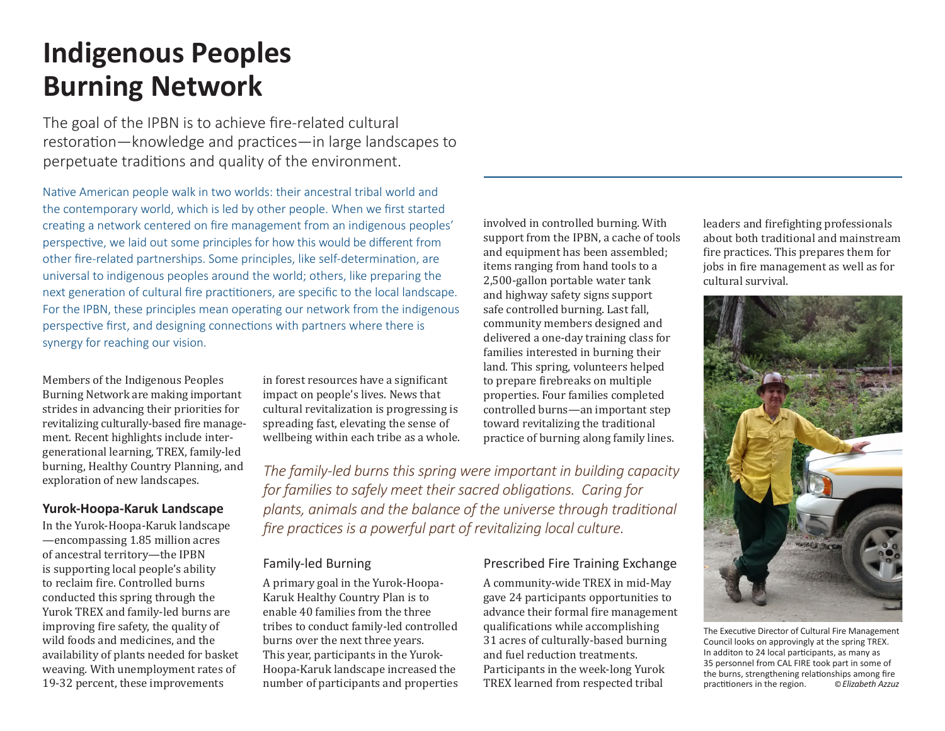# **Indigenous Peoples Burning Network**

The goal of the IPBN is to achieve fire-related cultural restoration—knowledge and practices—in large landscapes to perpetuate traditions and quality of the environment.

Native American people walk in two worlds: their ancestral tribal world and the contemporary world, which is led by other people. When we first started creating a network centered on fire management from an indigenous peoples' perspective, we laid out some principles for how this would be different from other fire-related partnerships. Some principles, like self-determination, are universal to indigenous peoples around the world; others, like preparing the next generation of cultural fire practitioners, are specific to the local landscape. For the IPBN, these principles mean operating our network from the indigenous perspective first, and designing connections with partners where there is synergy for reaching our vision.

Members of the Indigenous Peoples Burning Network are making important strides in advancing their priorities for revitalizing culturally-based fire management. Recent highlights include intergenerational learning, TREX, family-led burning, Healthy Country Planning, and exploration of new landscapes.

## **Yurok-Hoopa-Karuk Landscape**

In the Yurok-Hoopa-Karuk landscape —encompassing 1.85 million acres of ancestral territory—the IPBN is supporting local people's ability to reclaim fire. Controlled burns conducted this spring through the Yurok TREX and family-led burns are improving fire safety, the quality of wild foods and medicines, and the availability of plants needed for basket weaving. With unemployment rates of 19-32 percent, these improvements

in forest resources have a significant impact on people's lives. News that cultural revitalization is progressing is spreading fast, elevating the sense of wellbeing within each tribe as a whole. involved in controlled burning. With support from the IPBN, a cache of tools and equipment has been assembled; items ranging from hand tools to a 2,500-gallon portable water tank and highway safety signs support safe controlled burning. Last fall, community members designed and delivered a one-day training class for families interested in burning their land. This spring, volunteers helped to prepare firebreaks on multiple properties. Four families completed controlled burns—an important step toward revitalizing the traditional practice of burning along family lines.

*The family-led burns this spring were important in building capacity for families to safely meet their sacred obligations. Caring for plants, animals and the balance of the universe through traditional fire practices is a powerful part of revitalizing local culture.*

## Family-led Burning

A primary goal in the Yurok-Hoopa-Karuk Healthy Country Plan is to enable 40 families from the three tribes to conduct family-led controlled burns over the next three years. This year, participants in the Yurok-Hoopa-Karuk landscape increased the number of participants and properties

## Prescribed Fire Training Exchange

A community-wide TREX in mid-May gave 24 participants opportunities to advance their formal fire management qualifications while accomplishing 31 acres of culturally-based burning and fuel reduction treatments. Participants in the week-long Yurok TREX learned from respected tribal

leaders and firefighting professionals about both traditional and mainstream fire practices. This prepares them for jobs in fire management as well as for cultural survival.



The Executive Director of Cultural Fire Management Council looks on approvingly at the spring TREX. In additon to 24 local participants, as many as 35 personnel from CAL FIRE took part in some of the burns, strengthening relationships among fire practitioners in the region. ©*Elizabeth Azzuz*